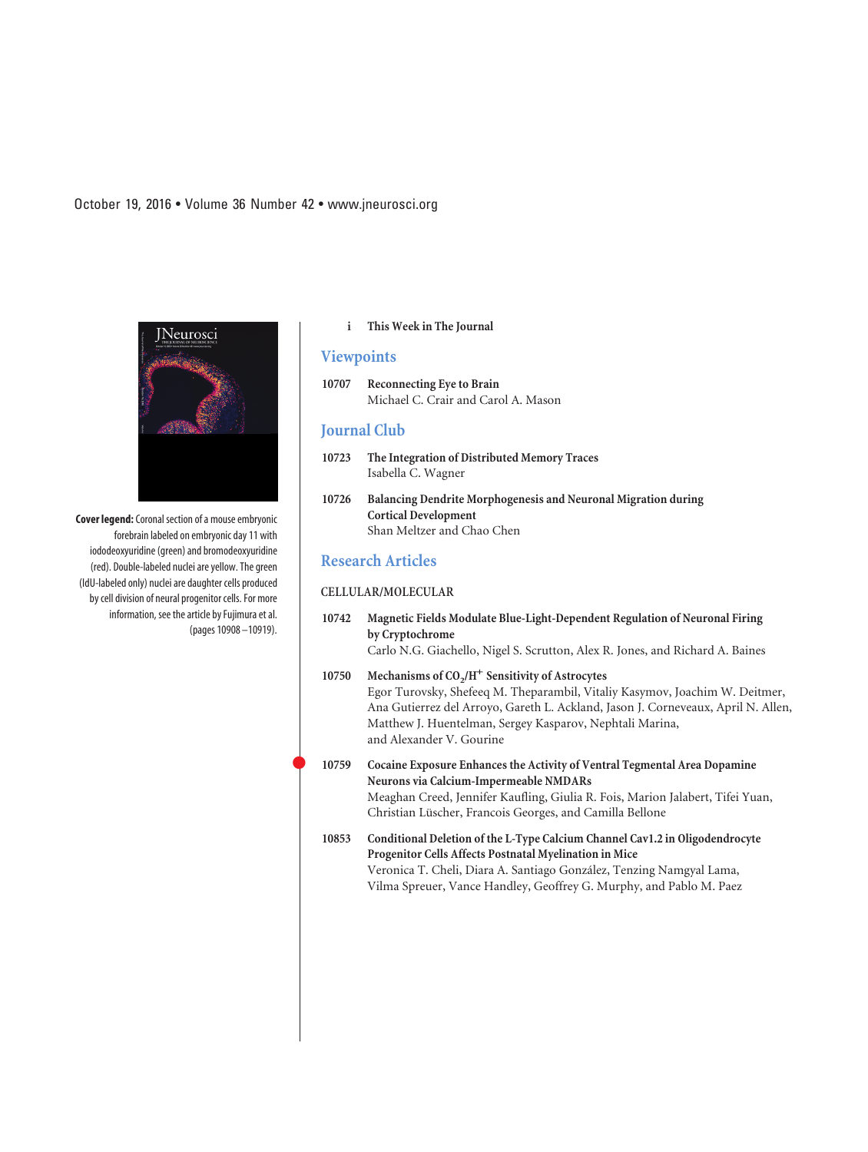**Cover legend:**Coronal section of a mouse embryonic forebrain labeled on embryonic day 11 with iododeoxyuridine (green) and bromodeoxyuridine (red). Double-labeled nuclei are yellow. The green (IdU-labeled only) nuclei are daughter cells produced by cell division of neural progenitor cells. For more information, see the article by Fujimura et al. (pages 10908 –10919).

### **i This Week in The Journal**

## **Viewpoints**

**10707 Reconnecting Eye to Brain** Michael C. Crair and Carol A. Mason

### **Journal Club**

- **10723 The Integration of Distributed Memory Traces** Isabella C. Wagner
- **10726 Balancing Dendrite Morphogenesis and Neuronal Migration during Cortical Development** Shan Meltzer and Chao Chen

## **Research Articles**

 $\bullet$ 

### **CELLULAR/MOLECULAR**

- **10742 Magnetic Fields Modulate Blue-Light-Dependent Regulation of Neuronal Firing by Cryptochrome** Carlo N.G. Giachello, Nigel S. Scrutton, Alex R. Jones, and Richard A. Baines
- 10750 Mechanisms of CO<sub>2</sub>/H<sup>+</sup> Sensitivity of Astrocytes Egor Turovsky, Shefeeq M. Theparambil, Vitaliy Kasymov, Joachim W. Deitmer, Ana Gutierrez del Arroyo, Gareth L. Ackland, Jason J. Corneveaux, April N. Allen, Matthew J. Huentelman, Sergey Kasparov, Nephtali Marina, and Alexander V. Gourine

### **10759 Cocaine Exposure Enhances the Activity of Ventral Tegmental Area Dopamine Neurons via Calcium-Impermeable NMDARs** Meaghan Creed, Jennifer Kaufling, Giulia R. Fois, Marion Jalabert, Tifei Yuan, Christian Lüscher, Francois Georges, and Camilla Bellone

**10853 Conditional Deletion of the L-Type Calcium Channel Cav1.2 in Oligodendrocyte Progenitor Cells Affects Postnatal Myelination in Mice** Veronica T. Cheli, Diara A. Santiago González, Tenzing Namgyal Lama, Vilma Spreuer, Vance Handley, Geoffrey G. Murphy, and Pablo M. Paez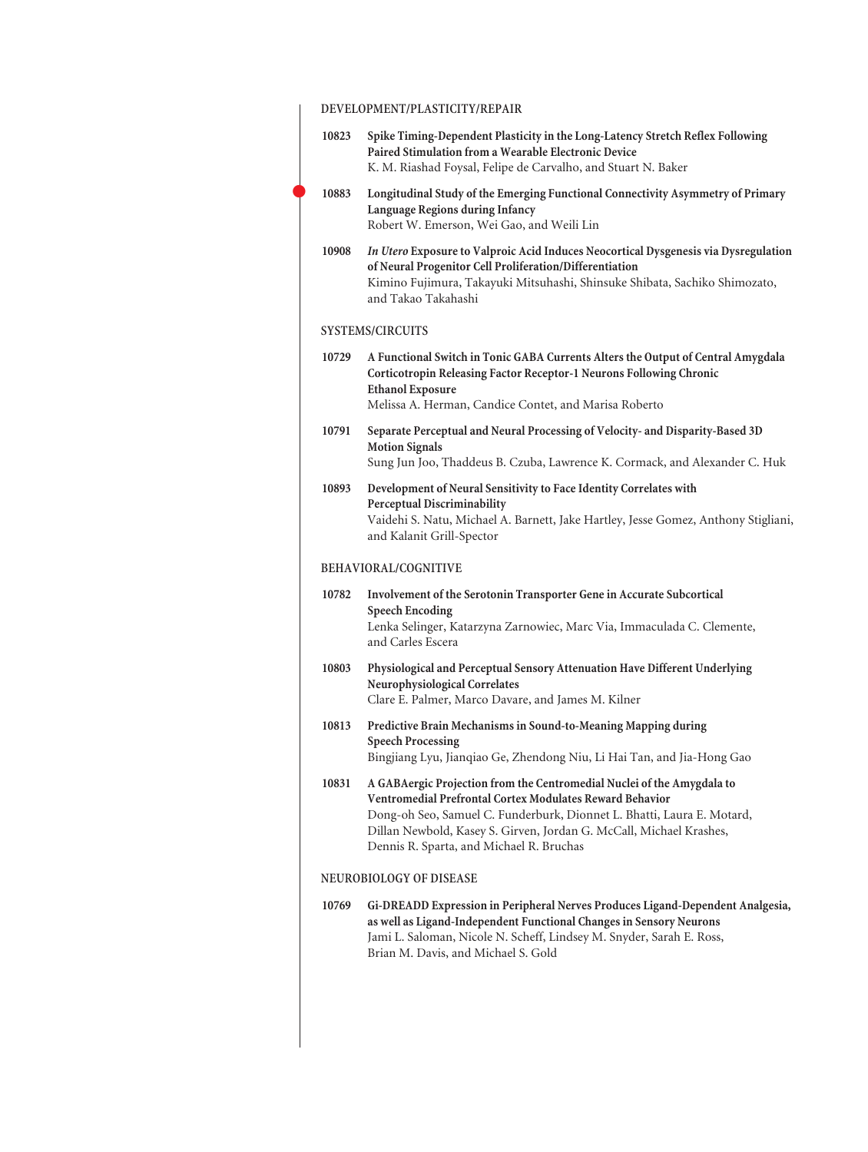## **DEVELOPMENT/PLASTICITY/REPAIR**

 $\bullet$ 

| 10823 | Spike Timing-Dependent Plasticity in the Long-Latency Stretch Reflex Following<br>Paired Stimulation from a Wearable Electronic Device<br>K. M. Riashad Foysal, Felipe de Carvalho, and Stuart N. Baker                                                                                                                         |
|-------|---------------------------------------------------------------------------------------------------------------------------------------------------------------------------------------------------------------------------------------------------------------------------------------------------------------------------------|
| 10883 | Longitudinal Study of the Emerging Functional Connectivity Asymmetry of Primary<br>Language Regions during Infancy<br>Robert W. Emerson, Wei Gao, and Weili Lin                                                                                                                                                                 |
| 10908 | In Utero Exposure to Valproic Acid Induces Neocortical Dysgenesis via Dysregulation<br>of Neural Progenitor Cell Proliferation/Differentiation<br>Kimino Fujimura, Takayuki Mitsuhashi, Shinsuke Shibata, Sachiko Shimozato,<br>and Takao Takahashi                                                                             |
|       | <b>SYSTEMS/CIRCUITS</b>                                                                                                                                                                                                                                                                                                         |
| 10729 | A Functional Switch in Tonic GABA Currents Alters the Output of Central Amygdala<br>Corticotropin Releasing Factor Receptor-1 Neurons Following Chronic<br><b>Ethanol Exposure</b>                                                                                                                                              |
|       | Melissa A. Herman, Candice Contet, and Marisa Roberto                                                                                                                                                                                                                                                                           |
| 10791 | Separate Perceptual and Neural Processing of Velocity- and Disparity-Based 3D<br><b>Motion Signals</b>                                                                                                                                                                                                                          |
|       | Sung Jun Joo, Thaddeus B. Czuba, Lawrence K. Cormack, and Alexander C. Huk                                                                                                                                                                                                                                                      |
| 10893 | Development of Neural Sensitivity to Face Identity Correlates with<br><b>Perceptual Discriminability</b><br>Vaidehi S. Natu, Michael A. Barnett, Jake Hartley, Jesse Gomez, Anthony Stigliani,                                                                                                                                  |
|       | and Kalanit Grill-Spector                                                                                                                                                                                                                                                                                                       |
|       | BEHAVIORAL/COGNITIVE                                                                                                                                                                                                                                                                                                            |
| 10782 | Involvement of the Serotonin Transporter Gene in Accurate Subcortical<br><b>Speech Encoding</b><br>Lenka Selinger, Katarzyna Zarnowiec, Marc Via, Immaculada C. Clemente,                                                                                                                                                       |
|       | and Carles Escera                                                                                                                                                                                                                                                                                                               |
| 10803 | Physiological and Perceptual Sensory Attenuation Have Different Underlying<br><b>Neurophysiological Correlates</b>                                                                                                                                                                                                              |
|       | Clare E. Palmer, Marco Davare, and James M. Kilner                                                                                                                                                                                                                                                                              |
| 10813 | Predictive Brain Mechanisms in Sound-to-Meaning Mapping during<br><b>Speech Processing</b>                                                                                                                                                                                                                                      |
|       | Bingjiang Lyu, Jianqiao Ge, Zhendong Niu, Li Hai Tan, and Jia-Hong Gao                                                                                                                                                                                                                                                          |
| 10831 | A GABAergic Projection from the Centromedial Nuclei of the Amygdala to<br>Ventromedial Prefrontal Cortex Modulates Reward Behavior<br>Dong-oh Seo, Samuel C. Funderburk, Dionnet L. Bhatti, Laura E. Motard,<br>Dillan Newbold, Kasey S. Girven, Jordan G. McCall, Michael Krashes,<br>Dennis R. Sparta, and Michael R. Bruchas |
|       | NEUROBIOLOGY OF DISEASE                                                                                                                                                                                                                                                                                                         |
| 10769 | Gi-DREADD Expression in Peripheral Nerves Produces Ligand-Dependent Analgesia,<br>as well as Ligand-Independent Functional Changes in Sensory Neurons<br>Jami L. Saloman, Nicole N. Scheff, Lindsey M. Snyder, Sarah E. Ross,<br>Brian M. Davis, and Michael S. Gold                                                            |